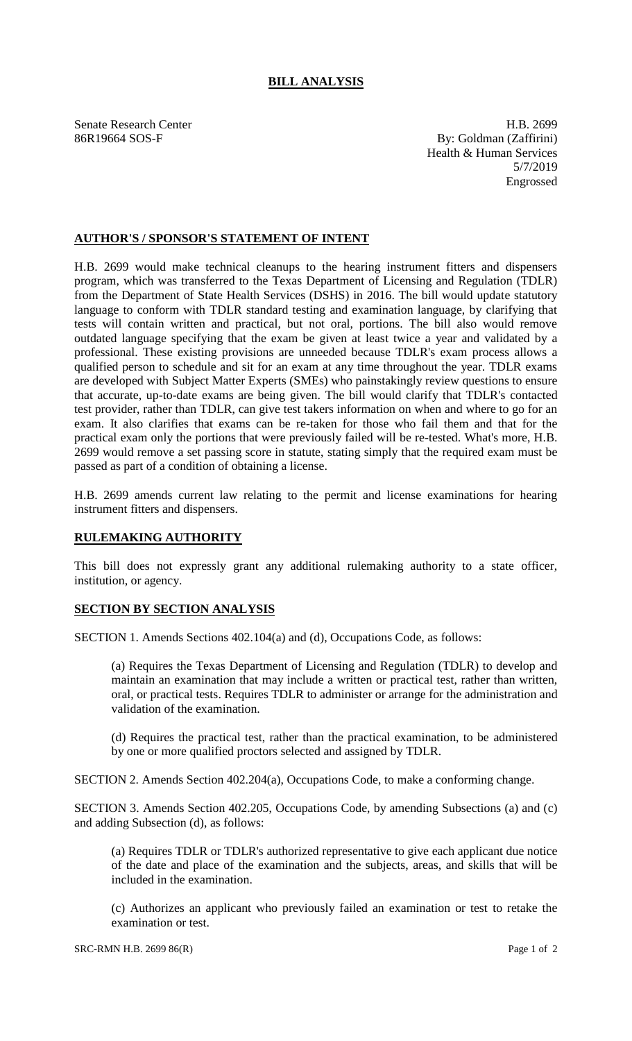## **BILL ANALYSIS**

Senate Research Center **H.B. 2699** 86R19664 SOS-F By: Goldman (Zaffirini) Health & Human Services 5/7/2019 Engrossed

## **AUTHOR'S / SPONSOR'S STATEMENT OF INTENT**

H.B. 2699 would make technical cleanups to the hearing instrument fitters and dispensers program, which was transferred to the Texas Department of Licensing and Regulation (TDLR) from the Department of State Health Services (DSHS) in 2016. The bill would update statutory language to conform with TDLR standard testing and examination language, by clarifying that tests will contain written and practical, but not oral, portions. The bill also would remove outdated language specifying that the exam be given at least twice a year and validated by a professional. These existing provisions are unneeded because TDLR's exam process allows a qualified person to schedule and sit for an exam at any time throughout the year. TDLR exams are developed with Subject Matter Experts (SMEs) who painstakingly review questions to ensure that accurate, up-to-date exams are being given. The bill would clarify that TDLR's contacted test provider, rather than TDLR, can give test takers information on when and where to go for an exam. It also clarifies that exams can be re-taken for those who fail them and that for the practical exam only the portions that were previously failed will be re-tested. What's more, H.B. 2699 would remove a set passing score in statute, stating simply that the required exam must be passed as part of a condition of obtaining a license.

H.B. 2699 amends current law relating to the permit and license examinations for hearing instrument fitters and dispensers.

## **RULEMAKING AUTHORITY**

This bill does not expressly grant any additional rulemaking authority to a state officer, institution, or agency.

## **SECTION BY SECTION ANALYSIS**

SECTION 1. Amends Sections 402.104(a) and (d), Occupations Code, as follows:

(a) Requires the Texas Department of Licensing and Regulation (TDLR) to develop and maintain an examination that may include a written or practical test, rather than written, oral, or practical tests. Requires TDLR to administer or arrange for the administration and validation of the examination.

(d) Requires the practical test, rather than the practical examination, to be administered by one or more qualified proctors selected and assigned by TDLR.

SECTION 2. Amends Section 402.204(a), Occupations Code, to make a conforming change.

SECTION 3. Amends Section 402.205, Occupations Code, by amending Subsections (a) and (c) and adding Subsection (d), as follows:

(a) Requires TDLR or TDLR's authorized representative to give each applicant due notice of the date and place of the examination and the subjects, areas, and skills that will be included in the examination.

(c) Authorizes an applicant who previously failed an examination or test to retake the examination or test.